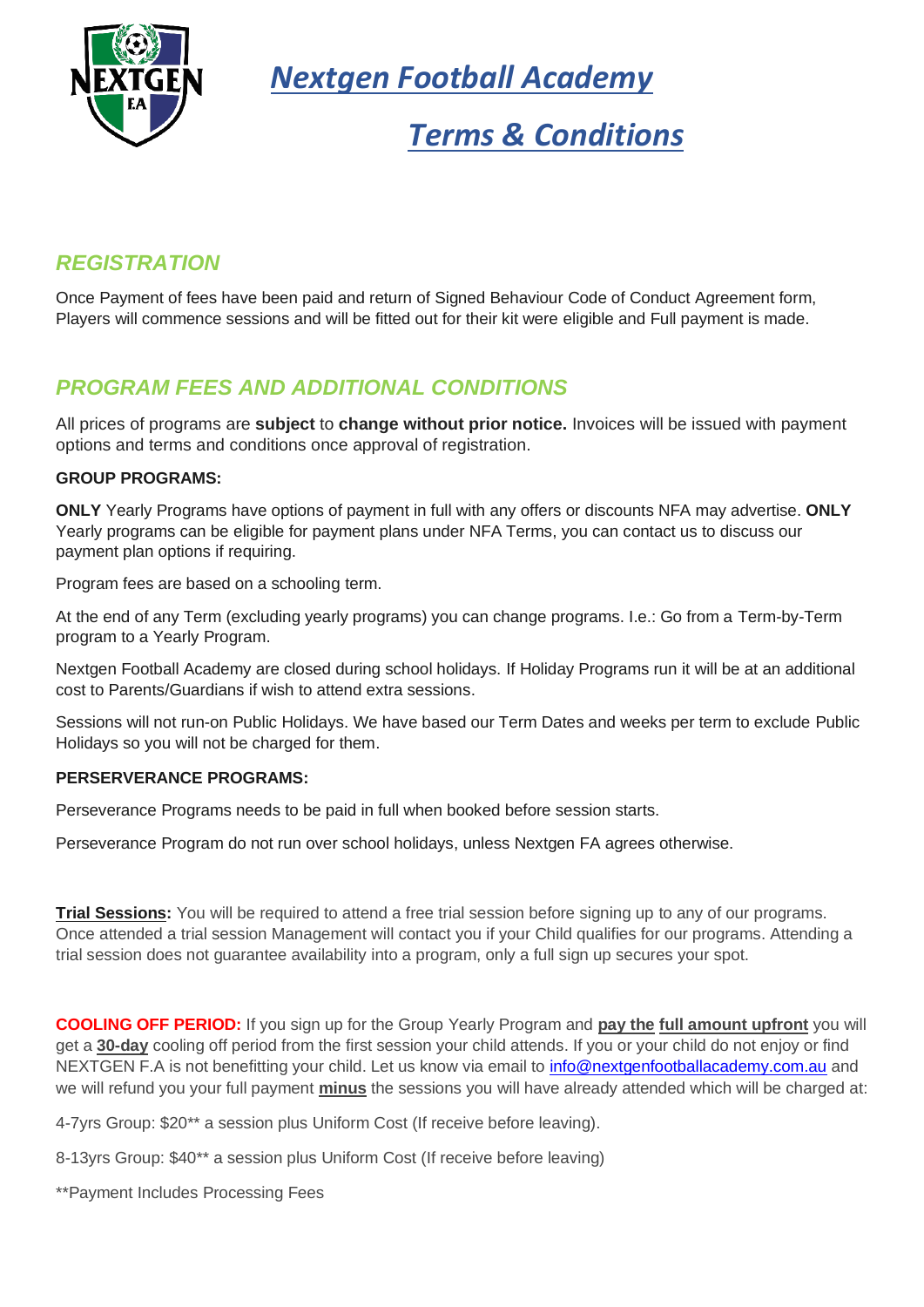

*Nextgen Football Academy*

# *Terms & Conditions*

# *REGISTRATION*

Once Payment of fees have been paid and return of Signed Behaviour Code of Conduct Agreement form, Players will commence sessions and will be fitted out for their kit were eligible and Full payment is made.

# *PROGRAM FEES AND ADDITIONAL CONDITIONS*

All prices of programs are **subject** to **change without prior notice.** Invoices will be issued with payment options and terms and conditions once approval of registration.

#### **GROUP PROGRAMS:**

**ONLY** Yearly Programs have options of payment in full with any offers or discounts NFA may advertise. **ONLY** Yearly programs can be eligible for payment plans under NFA Terms, you can contact us to discuss our payment plan options if requiring.

Program fees are based on a schooling term.

At the end of any Term (excluding yearly programs) you can change programs. I.e.: Go from a Term-by-Term program to a Yearly Program.

Nextgen Football Academy are closed during school holidays. If Holiday Programs run it will be at an additional cost to Parents/Guardians if wish to attend extra sessions.

Sessions will not run-on Public Holidays. We have based our Term Dates and weeks per term to exclude Public Holidays so you will not be charged for them.

#### **PERSERVERANCE PROGRAMS:**

Perseverance Programs needs to be paid in full when booked before session starts.

Perseverance Program do not run over school holidays, unless Nextgen FA agrees otherwise.

**Trial Sessions:** You will be required to attend a free trial session before signing up to any of our programs. Once attended a trial session Management will contact you if your Child qualifies for our programs. Attending a trial session does not guarantee availability into a program, only a full sign up secures your spot.

**COOLING OFF PERIOD:** If you sign up for the Group Yearly Program and **pay the full amount upfront** you will get a **30-day** cooling off period from the first session your child attends. If you or your child do not enjoy or find NEXTGEN F.A is not benefitting your child. Let us know via email to [info@nextgenfootballacademy.com.au](mailto:info@nextgenfootballacademy.com.au) and we will refund you your full payment **minus** the sessions you will have already attended which will be charged at:

4-7yrs Group: \$20\*\* a session plus Uniform Cost (If receive before leaving).

8-13yrs Group: \$40\*\* a session plus Uniform Cost (If receive before leaving)

\*\*Payment Includes Processing Fees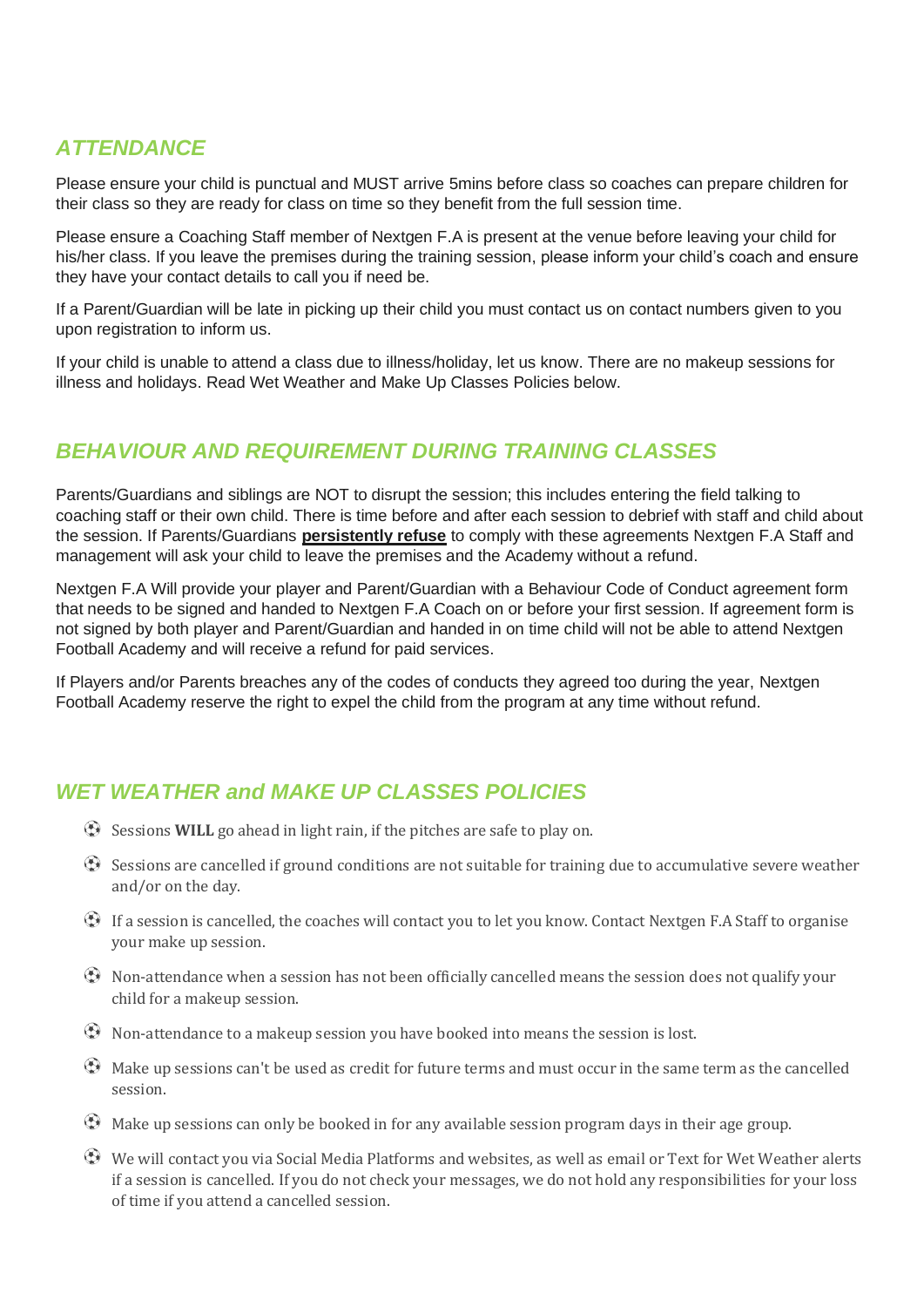# *ATTENDANCE*

Please ensure your child is punctual and MUST arrive 5mins before class so coaches can prepare children for their class so they are ready for class on time so they benefit from the full session time.

Please ensure a Coaching Staff member of Nextgen F.A is present at the venue before leaving your child for his/her class. If you leave the premises during the training session, please inform your child's coach and ensure they have your contact details to call you if need be.

If a Parent/Guardian will be late in picking up their child you must contact us on contact numbers given to you upon registration to inform us.

If your child is unable to attend a class due to illness/holiday, let us know. There are no makeup sessions for illness and holidays. Read Wet Weather and Make Up Classes Policies below.

## *BEHAVIOUR AND REQUIREMENT DURING TRAINING CLASSES*

Parents/Guardians and siblings are NOT to disrupt the session; this includes entering the field talking to coaching staff or their own child. There is time before and after each session to debrief with staff and child about the session. If Parents/Guardians **persistently refuse** to comply with these agreements Nextgen F.A Staff and management will ask your child to leave the premises and the Academy without a refund.

Nextgen F.A Will provide your player and Parent/Guardian with a Behaviour Code of Conduct agreement form that needs to be signed and handed to Nextgen F.A Coach on or before your first session. If agreement form is not signed by both player and Parent/Guardian and handed in on time child will not be able to attend Nextgen Football Academy and will receive a refund for paid services.

If Players and/or Parents breaches any of the codes of conducts they agreed too during the year, Nextgen Football Academy reserve the right to expel the child from the program at any time without refund.

# *WET WEATHER and MAKE UP CLASSES POLICIES*

- Sessions **WILL** go ahead in light rain, if the pitches are safe to play on.
- $\bigoplus$  Sessions are cancelled if ground conditions are not suitable for training due to accumulative severe weather and/or on the day.
- $\bigoplus$  If a session is cancelled, the coaches will contact you to let you know. Contact Nextgen F.A Staff to organise your make up session.
- $\bigoplus$  Non-attendance when a session has not been officially cancelled means the session does not qualify your child for a makeup session.
- $\bigoplus$  Non-attendance to a makeup session you have booked into means the session is lost.
- $\bigoplus$  Make up sessions can't be used as credit for future terms and must occur in the same term as the cancelled session.
- $\bigoplus$  Make up sessions can only be booked in for any available session program days in their age group.
- We will contact you via Social Media Platforms and websites, as well as email or Text for Wet Weather alerts if a session is cancelled. If you do not check your messages, we do not hold any responsibilities for your loss of time if you attend a cancelled session.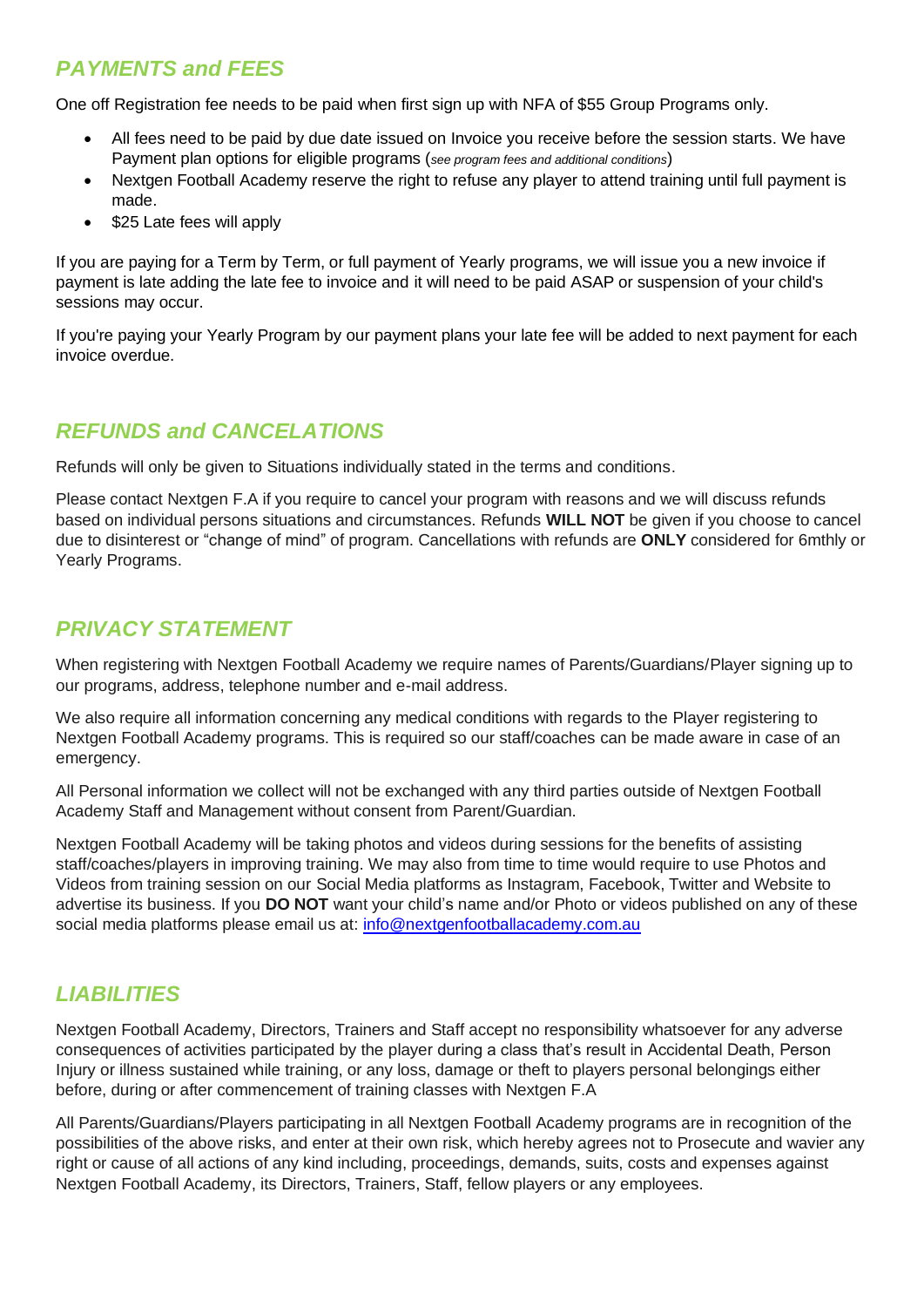# *PAYMENTS and FEES*

One off Registration fee needs to be paid when first sign up with NFA of \$55 Group Programs only.

- All fees need to be paid by due date issued on Invoice you receive before the session starts. We have Payment plan options for eligible programs (*see program fees and additional conditions*)
- Nextgen Football Academy reserve the right to refuse any player to attend training until full payment is made.
- \$25 Late fees will apply

If you are paying for a Term by Term, or full payment of Yearly programs, we will issue you a new invoice if payment is late adding the late fee to invoice and it will need to be paid ASAP or suspension of your child's sessions may occur.

If you're paying your Yearly Program by our payment plans your late fee will be added to next payment for each invoice overdue.

#### *REFUNDS and CANCELATIONS*

Refunds will only be given to Situations individually stated in the terms and conditions.

Please contact Nextgen F.A if you require to cancel your program with reasons and we will discuss refunds based on individual persons situations and circumstances. Refunds **WILL NOT** be given if you choose to cancel due to disinterest or "change of mind" of program. Cancellations with refunds are **ONLY** considered for 6mthly or Yearly Programs.

#### *PRIVACY STATEMENT*

When registering with Nextgen Football Academy we require names of Parents/Guardians/Player signing up to our programs, address, telephone number and e-mail address.

We also require all information concerning any medical conditions with regards to the Player registering to Nextgen Football Academy programs. This is required so our staff/coaches can be made aware in case of an emergency.

All Personal information we collect will not be exchanged with any third parties outside of Nextgen Football Academy Staff and Management without consent from Parent/Guardian.

Nextgen Football Academy will be taking photos and videos during sessions for the benefits of assisting staff/coaches/players in improving training. We may also from time to time would require to use Photos and Videos from training session on our Social Media platforms as Instagram, Facebook, Twitter and Website to advertise its business. If you **DO NOT** want your child's name and/or Photo or videos published on any of these social media platforms please email us at: [info@nextgenfootballacademy.com.au](mailto:info@nextgenfootballacademy.com.au)

## *LIABILITIES*

Nextgen Football Academy, Directors, Trainers and Staff accept no responsibility whatsoever for any adverse consequences of activities participated by the player during a class that's result in Accidental Death, Person Injury or illness sustained while training, or any loss, damage or theft to players personal belongings either before, during or after commencement of training classes with Nextgen F.A

All Parents/Guardians/Players participating in all Nextgen Football Academy programs are in recognition of the possibilities of the above risks, and enter at their own risk, which hereby agrees not to Prosecute and wavier any right or cause of all actions of any kind including, proceedings, demands, suits, costs and expenses against Nextgen Football Academy, its Directors, Trainers, Staff, fellow players or any employees.